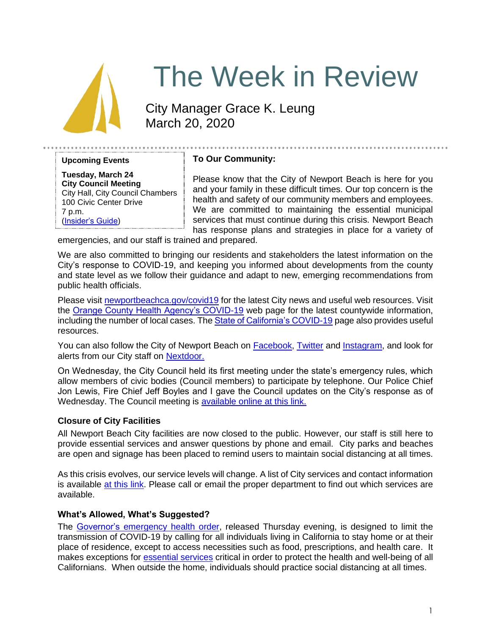

# The Week in Review

City Manager Grace K. Leung March 20, 2020

**Upcoming Events**

**Tuesday, March 24 City Council Meeting** City Hall, City Council Chambers 100 Civic Center Drive 7 p.m. [\(Insider's Guide\)](https://newportbeachca.gov/government/departments/city-manager-s-office/insider-s-guide/-fsiteid-1)

# **To Our Community:**

Please know that the City of Newport Beach is here for you and your family in these difficult times. Our top concern is the health and safety of our community members and employees. We are committed to maintaining the essential municipal services that must continue during this crisis. Newport Beach has response plans and strategies in place for a variety of

emergencies, and our staff is trained and prepared.

We are also committed to bringing our residents and stakeholders the latest information on the City's response to COVID-19, and keeping you informed about developments from the county and state level as we follow their guidance and adapt to new, emerging recommendations from public health officials.

Please visit [newportbeachca.gov/covid19](https://www.newportbeachca.gov/how-do-i/find/disaster-preparedness-information/disease-outbreak/-fsiteid-1) for the latest City news and useful web resources. Visit the [Orange County Health Agency's COVID-19](https://www.ochealthinfo.com/phs/about/epidasmt/epi/dip/prevention/novel_coronavirus) web page for the latest countywide information, including the number of local cases. Th[e State of California's COVID-19](https://covid19.ca.gov/) page also provides useful resources.

You can also follow the City of Newport Beach on [Facebook,](https://www.facebook.com/pg/CityofNewportBeach) [Twitter](https://twitter.com/newportbeachgov) and [Instagram,](https://www.instagram.com/cityofnewportbeach/) and look for alerts from our City staff on [Nextdoor.](https://nextdoor.com/agency/city-of-newport-beach/?i=ltdytbjdbdkntfqttgcm)

On Wednesday, the City Council held its first meeting under the state's emergency rules, which allow members of civic bodies (Council members) to participate by telephone. Our Police Chief Jon Lewis, Fire Chief Jeff Boyles and I gave the Council updates on the City's response as of Wednesday. The Council meeting is [available online at this link.](https://www.youtube.com/watch?v=h3MdU9dGZjk&t=592s)

# **Closure of City Facilities**

All Newport Beach City facilities are now closed to the public. However, our staff is still here to provide essential services and answer questions by phone and email. City parks and beaches are open and signage has been placed to remind users to maintain social distancing at all times.

As this crisis evolves, our service levels will change. A list of City services and contact information is available [at this link.](https://www.newportbeachca.gov/government/departments/service-directory) Please call or email the proper department to find out which services are available.

#### **What's Allowed, What's Suggested?**

The Governor's [emergency health order,](https://covid19.ca.gov/img/Executive-Order-N-33-20.pdf) released Thursday evening, is designed to limit the transmission of COVID-19 by calling for all individuals living in California to stay home or at their place of residence, except to access necessities such as food, prescriptions, and health care. It makes exceptions for [essential services](https://www.cisa.gov/identifying-critical-infrastructure-during-covid-19) critical in order to protect the health and well-being of all Californians. When outside the home, individuals should practice social distancing at all times.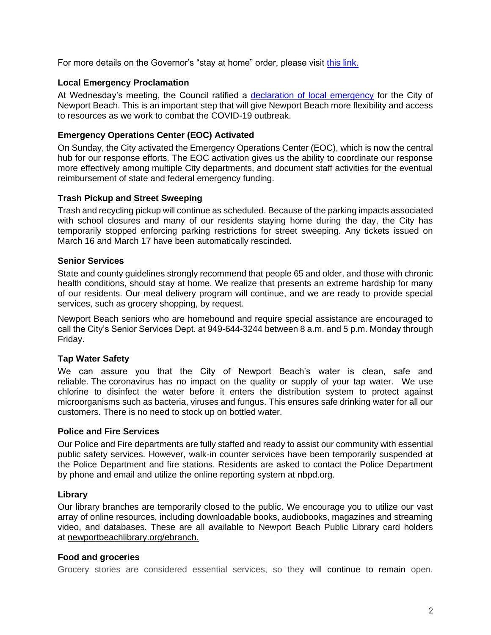For more details on the Governor's "stay at home" order, please visit [this link.](https://covid19.ca.gov/stay-home-except-for-essential-needs/)

## **Local Emergency Proclamation**

At Wednesday's meeting, the Council ratified a [declaration of local emergency](https://www.newportbeachca.gov/home/showdocument?id=66495) for the City of Newport Beach. This is an important step that will give Newport Beach more flexibility and access to resources as we work to combat the COVID-19 outbreak.

# **Emergency Operations Center (EOC) Activated**

On Sunday, the City activated the Emergency Operations Center (EOC), which is now the central hub for our response efforts. The EOC activation gives us the ability to coordinate our response more effectively among multiple City departments, and document staff activities for the eventual reimbursement of state and federal emergency funding.

#### **Trash Pickup and Street Sweeping**

Trash and recycling pickup will continue as scheduled. Because of the parking impacts associated with school closures and many of our residents staying home during the day, the City has temporarily stopped enforcing parking restrictions for street sweeping. Any tickets issued on March 16 and March 17 have been automatically rescinded.

# **Senior Services**

State and county guidelines strongly recommend that people 65 and older, and those with chronic health conditions, should stay at home. We realize that presents an extreme hardship for many of our residents. Our meal delivery program will continue, and we are ready to provide special services, such as grocery shopping, by request.

Newport Beach seniors who are homebound and require special assistance are encouraged to call the City's Senior Services Dept. at 949-644-3244 between 8 a.m. and 5 p.m. Monday through Friday.

# **Tap Water Safety**

We can assure you that the City of Newport Beach's water is clean, safe and reliable. The coronavirus has no impact on the quality or supply of your tap water. We use chlorine to disinfect the water before it enters the distribution system to protect against microorganisms such as bacteria, viruses and fungus. This ensures safe drinking water for all our customers. There is no need to stock up on bottled water.

#### **Police and Fire Services**

Our Police and Fire departments are fully staffed and ready to assist our community with essential public safety services. However, walk-in counter services have been temporarily suspended at the Police Department and fire stations. Residents are asked to contact the Police Department by phone and email and utilize the online reporting system at [nbpd.org.](http://www.nbpd.org/)

#### **Library**

Our library branches are temporarily closed to the public. We encourage you to utilize our vast array of online resources, including downloadable books, audiobooks, magazines and streaming video, and databases. These are all available to Newport Beach Public Library card holders at [newportbeachlibrary.org/ebranch.](https://www.newportbeachlibrary.org/ebranch)

#### **Food and groceries**

Grocery stories are considered essential services, so they will continue to remain open.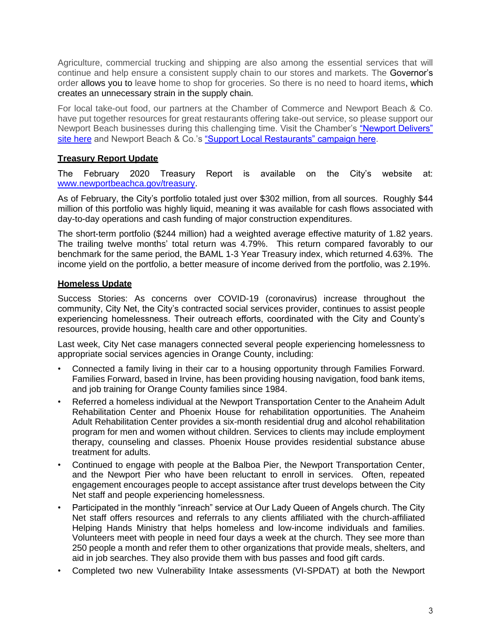Agriculture, commercial trucking and shipping are also among the essential services that will continue and help ensure a consistent supply chain to our stores and markets. The Governor's order allows you to leave home to shop for groceries. So there is no need to hoard items, which creates an unnecessary strain in the supply chain.

For local take-out food, our partners at the Chamber of Commerce and Newport Beach & Co. have put together resources for great restaurants offering take-out service, so please support our Newport Beach businesses during this challenging time. Visit the Chamber's ["Newport Delivers"](https://www.newportbeach.com/newportdelivers/)  [site here](https://www.newportbeach.com/newportdelivers/) and Newport Beach & Co.'s ["Support Local Restaurants" campaign here.](https://www.visitnewportbeach.com/newport-beach-dining-alternatives/)

# **Treasury Report Update**

The February 2020 Treasury Report is available on the City's website at: [www.newportbeachca.gov/treasury.](http://www.newportbeachca.gov/treasury)

As of February, the City's portfolio totaled just over \$302 million, from all sources. Roughly \$44 million of this portfolio was highly liquid, meaning it was available for cash flows associated with day-to-day operations and cash funding of major construction expenditures.

The short-term portfolio (\$244 million) had a weighted average effective maturity of 1.82 years. The trailing twelve months' total return was 4.79%. This return compared favorably to our benchmark for the same period, the BAML 1-3 Year Treasury index, which returned 4.63%. The income yield on the portfolio, a better measure of income derived from the portfolio, was 2.19%.

#### **Homeless Update**

Success Stories: As concerns over COVID-19 (coronavirus) increase throughout the community, City Net, the City's contracted social services provider, continues to assist people experiencing homelessness. Their outreach efforts, coordinated with the City and County's resources, provide housing, health care and other opportunities.

Last week, City Net case managers connected several people experiencing homelessness to appropriate social services agencies in Orange County, including:

- Connected a family living in their car to a housing opportunity through Families Forward. Families Forward, based in Irvine, has been providing housing navigation, food bank items, and job training for Orange County families since 1984.
- Referred a homeless individual at the Newport Transportation Center to the Anaheim Adult Rehabilitation Center and Phoenix House for rehabilitation opportunities. The Anaheim Adult Rehabilitation Center provides a six-month residential drug and alcohol rehabilitation program for men and women without children. Services to clients may include employment therapy, counseling and classes. Phoenix House provides residential substance abuse treatment for adults.
- Continued to engage with people at the Balboa Pier, the Newport Transportation Center, and the Newport Pier who have been reluctant to enroll in services. Often, repeated engagement encourages people to accept assistance after trust develops between the City Net staff and people experiencing homelessness.
- Participated in the monthly "inreach" service at Our Lady Queen of Angels church. The City Net staff offers resources and referrals to any clients affiliated with the church-affiliated Helping Hands Ministry that helps homeless and low-income individuals and families. Volunteers meet with people in need four days a week at the church. They see more than 250 people a month and refer them to other organizations that provide meals, shelters, and aid in job searches. They also provide them with bus passes and food gift cards.
- Completed two new Vulnerability Intake assessments (VI-SPDAT) at both the Newport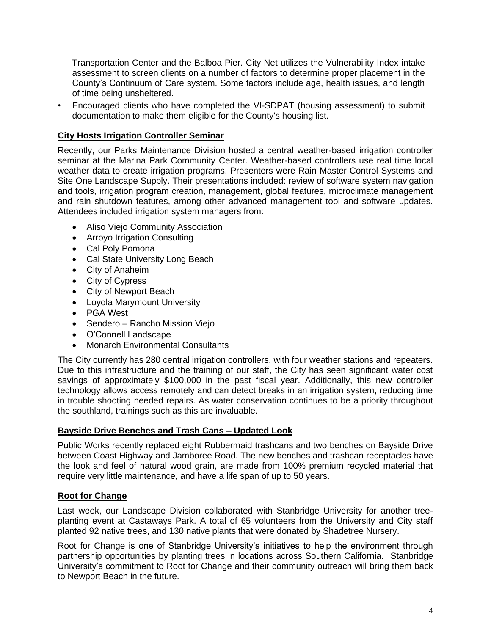Transportation Center and the Balboa Pier. City Net utilizes the Vulnerability Index intake assessment to screen clients on a number of factors to determine proper placement in the County's Continuum of Care system. Some factors include age, health issues, and length of time being unsheltered.

• Encouraged clients who have completed the VI-SDPAT (housing assessment) to submit documentation to make them eligible for the County's housing list.

# **City Hosts Irrigation Controller Seminar**

Recently, our Parks Maintenance Division hosted a central weather-based irrigation controller seminar at the Marina Park Community Center. Weather-based controllers use real time local weather data to create irrigation programs. Presenters were Rain Master Control Systems and Site One Landscape Supply. Their presentations included: review of software system navigation and tools, irrigation program creation, management, global features, microclimate management and rain shutdown features, among other advanced management tool and software updates. Attendees included irrigation system managers from:

- Aliso Viejo Community Association
- Arroyo Irrigation Consulting
- Cal Poly Pomona
- Cal State University Long Beach
- City of Anaheim
- City of Cypress
- City of Newport Beach
- Loyola Marymount University
- PGA West
- Sendero Rancho Mission Viejo
- O'Connell Landscape
- Monarch Environmental Consultants

The City currently has 280 central irrigation controllers, with four weather stations and repeaters. Due to this infrastructure and the training of our staff, the City has seen significant water cost savings of approximately \$100,000 in the past fiscal year. Additionally, this new controller technology allows access remotely and can detect breaks in an irrigation system, reducing time in trouble shooting needed repairs. As water conservation continues to be a priority throughout the southland, trainings such as this are invaluable.

#### **Bayside Drive Benches and Trash Cans – Updated Look**

Public Works recently replaced eight Rubbermaid trashcans and two benches on Bayside Drive between Coast Highway and Jamboree Road. The new benches and trashcan receptacles have the look and feel of natural wood grain, are made from 100% premium recycled material that require very little maintenance, and have a life span of up to 50 years.

#### **Root for Change**

Last week, our Landscape Division collaborated with Stanbridge University for another treeplanting event at Castaways Park. A total of 65 volunteers from the University and City staff planted 92 native trees, and 130 native plants that were donated by Shadetree Nursery.

Root for Change is one of Stanbridge University's initiatives to help the environment through partnership opportunities by planting trees in locations across Southern California. Stanbridge University's commitment to Root for Change and their community outreach will bring them back to Newport Beach in the future.